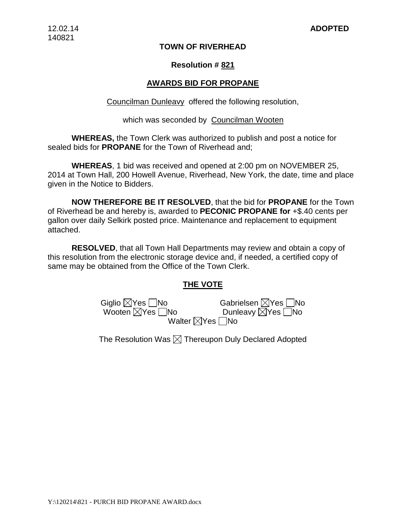### **TOWN OF RIVERHEAD**

### **Resolution # 821**

### **AWARDS BID FOR PROPANE**

Councilman Dunleavy offered the following resolution,

#### which was seconded by Councilman Wooten

**WHEREAS,** the Town Clerk was authorized to publish and post a notice for sealed bids for **PROPANE** for the Town of Riverhead and;

**WHEREAS**, 1 bid was received and opened at 2:00 pm on NOVEMBER 25, 2014 at Town Hall, 200 Howell Avenue, Riverhead, New York, the date, time and place given in the Notice to Bidders.

**NOW THEREFORE BE IT RESOLVED**, that the bid for **PROPANE** for the Town of Riverhead be and hereby is, awarded to **PECONIC PROPANE for** +\$.40 cents per gallon over daily Selkirk posted price. Maintenance and replacement to equipment attached.

**RESOLVED**, that all Town Hall Departments may review and obtain a copy of this resolution from the electronic storage device and, if needed, a certified copy of same may be obtained from the Office of the Town Clerk.

#### **THE VOTE**

Giglio  $\boxtimes$ Yes  $\Box$ No Wooten  $\boxtimes$ Yes  $\Box$ No Walter  $\boxtimes$ 

| Gabrielsen $\boxtimes$ Yes $\Box$ No |  |
|--------------------------------------|--|
| Dunleavy ⊠Yes No                     |  |
| Yes   No                             |  |

The Resolution Was  $\boxtimes$  Thereupon Duly Declared Adopted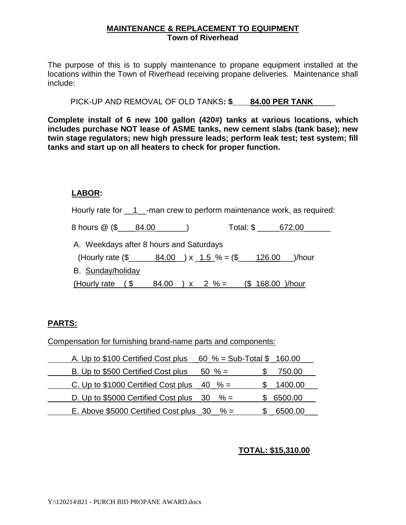### **MAINTENANCE & REPLACEMENT TO EQUIPMENT Town of Riverhead**

The purpose of this is to supply maintenance to propane equipment installed at the locations within the Town of Riverhead receiving propane deliveries. Maintenance shall include:

PICK-UP AND REMOVAL OF OLD TANKS**: \$\_\_\_\_84.00 PER TANK**\_\_\_\_\_

**Complete install of 6 new 100 gallon (420#) tanks at various locations, which includes purchase NOT lease of ASME tanks, new cement slabs (tank base); new twin stage regulators; new high pressure leads; perform leak test; test system; fill tanks and start up on all heaters to check for proper function.**

### **LABOR:**

Hourly rate for 1 \_\_- man crew to perform maintenance work, as required: 8 hours @ (\$ \_\_\_\_84.00 \_\_\_\_\_\_) Total: \$ \_\_\_\_\_\_672.00 A. Weekdays after 8 hours and Saturdays (Hourly rate  $(\frac{2}{3} - \frac{84.00}{3} ) \times (1.5\frac{6}{3} - (\frac{26.00}{3})$ /hour B. Sunday/holiday (Hourly rate  $($_3 \qquad 84.00) \times 2\% =$   $($_168.00)$ /hour

# **PARTS:**

Compensation for furnishing brand-name parts and components:

| A. Up to \$100 Certified Cost plus                     | 60 % = Sub-Total $$$ 160.00 |         |
|--------------------------------------------------------|-----------------------------|---------|
| B. Up to \$500 Certified Cost plus                     | $50 \% =$                   | 750.00  |
| C. Up to \$1000 Certified Cost plus $\frac{40}{8}$ =   |                             | 1400.00 |
| D. Up to \$5000 Certified Cost plus $\frac{30}{6}$ % = |                             | 6500.00 |
| E. Above $$5000$ Certified Cost plus 30 $\% =$         |                             | 6500.00 |

# **TOTAL: \$15,310.00**